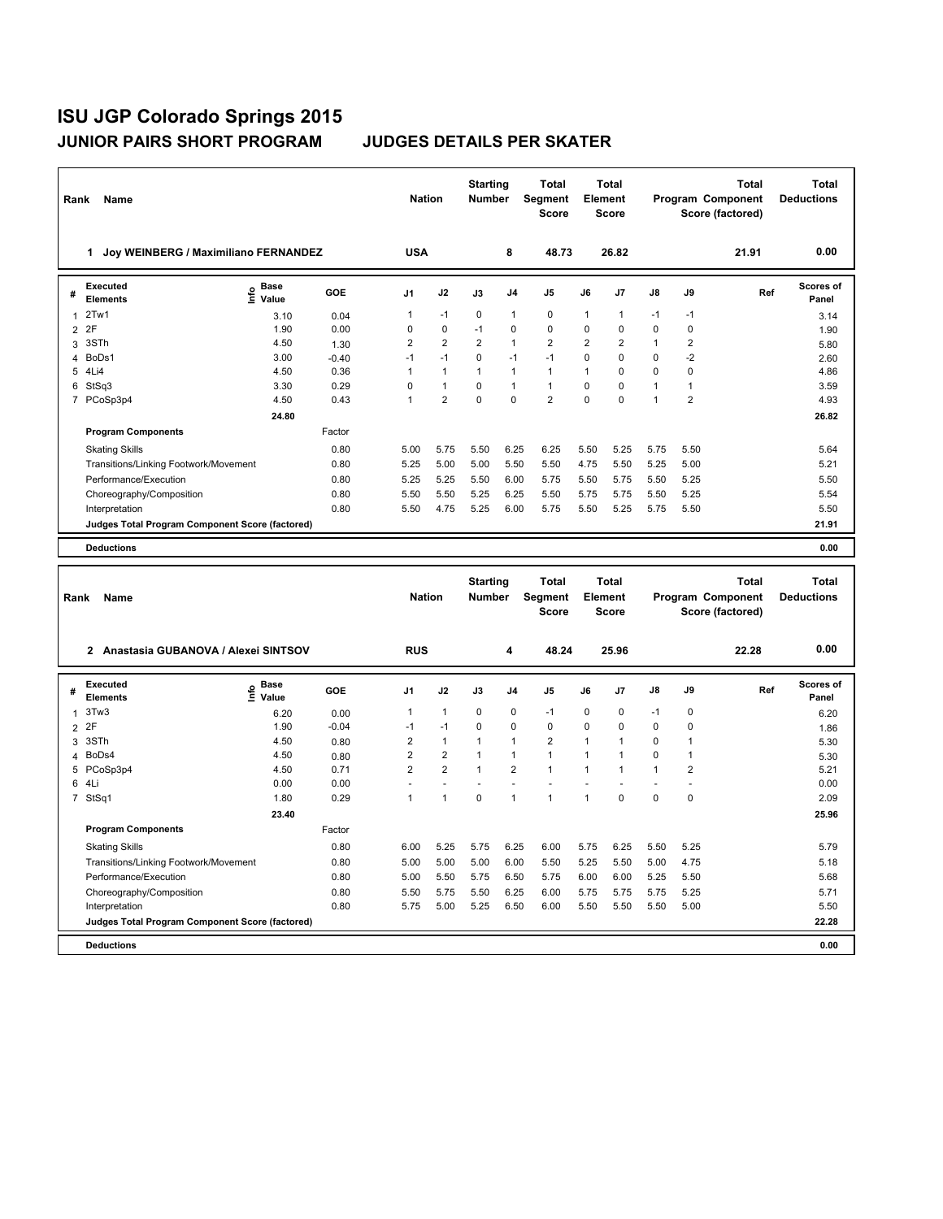| Rank           | Name                                            |                           |         | <b>Nation</b>  |                         | <b>Starting</b><br>Number        |                | Total<br>Segment<br><b>Score</b>        |                | <b>Total</b><br>Element<br><b>Score</b> |              |                         | <b>Total</b><br>Program Component<br>Score (factored) | <b>Total</b><br><b>Deductions</b> |
|----------------|-------------------------------------------------|---------------------------|---------|----------------|-------------------------|----------------------------------|----------------|-----------------------------------------|----------------|-----------------------------------------|--------------|-------------------------|-------------------------------------------------------|-----------------------------------|
|                | 1 Joy WEINBERG / Maximiliano FERNANDEZ          |                           |         | <b>USA</b>     |                         |                                  | 8              | 48.73                                   |                | 26.82                                   |              |                         | 21.91                                                 | 0.00                              |
| #              | <b>Executed</b><br><b>Elements</b>              | e Base<br>⊆ Value         | GOE     | J1             | J2                      | J3                               | J4             | J5                                      | J6             | J7                                      | J8           | J9                      | Ref                                                   | <b>Scores of</b><br>Panel         |
| 1              | 2Tw1                                            | 3.10                      | 0.04    | 1              | -1                      | 0                                | $\overline{1}$ | $\mathbf 0$                             | 1              | 1                                       | -1           | -1                      |                                                       | 3.14                              |
|                | 2 2F                                            | 1.90                      | 0.00    | 0              | 0                       | $-1$                             | $\mathbf 0$    | 0                                       | $\mathbf 0$    | $\mathbf 0$                             | 0            | 0                       |                                                       | 1.90                              |
| 3              | 3STh                                            | 4.50                      | 1.30    | 2              | $\overline{\mathbf{c}}$ | 2                                | $\overline{1}$ | $\overline{\mathbf{c}}$                 | $\overline{2}$ | $\overline{\mathbf{c}}$                 | 1            | $\overline{\mathbf{c}}$ |                                                       | 5.80                              |
| $\overline{4}$ | BoDs1                                           | 3.00                      | $-0.40$ | $-1$           | $-1$                    | 0                                | $-1$           | $-1$                                    | $\mathbf 0$    | 0                                       | 0            | $-2$                    |                                                       | 2.60                              |
|                | 5 4Li4                                          | 4.50                      | 0.36    | $\mathbf{1}$   | $\mathbf{1}$            | $\mathbf{1}$                     | $\mathbf{1}$   | $\mathbf{1}$                            | $\mathbf{1}$   | $\Omega$                                | $\Omega$     | $\Omega$                |                                                       | 4.86                              |
| 6              | StSq3                                           | 3.30                      | 0.29    | 0              | $\mathbf{1}$            | 0                                | $\overline{1}$ | $\mathbf{1}$                            | $\mathsf 0$    | 0                                       | $\mathbf{1}$ | $\mathbf{1}$            |                                                       | 3.59                              |
|                | 7 PCoSp3p4                                      | 4.50                      | 0.43    | $\mathbf{1}$   | $\overline{2}$          | 0                                | $\mathbf 0$    | $\overline{2}$                          | $\mathbf 0$    | 0                                       | 1            | $\overline{2}$          |                                                       | 4.93                              |
|                |                                                 | 24.80                     |         |                |                         |                                  |                |                                         |                |                                         |              |                         |                                                       | 26.82                             |
|                | <b>Program Components</b>                       |                           | Factor  |                |                         |                                  |                |                                         |                |                                         |              |                         |                                                       |                                   |
|                | <b>Skating Skills</b>                           |                           | 0.80    | 5.00           | 5.75                    | 5.50                             | 6.25           | 6.25                                    | 5.50           | 5.25                                    | 5.75         | 5.50                    |                                                       | 5.64                              |
|                | Transitions/Linking Footwork/Movement           |                           | 0.80    | 5.25           | 5.00                    | 5.00                             | 5.50           | 5.50                                    | 4.75           | 5.50                                    | 5.25         | 5.00                    |                                                       | 5.21                              |
|                | Performance/Execution                           |                           | 0.80    | 5.25           | 5.25                    | 5.50                             | 6.00           | 5.75                                    | 5.50           | 5.75                                    | 5.50         | 5.25                    |                                                       | 5.50                              |
|                | Choreography/Composition                        |                           | 0.80    | 5.50           | 5.50                    | 5.25                             | 6.25           | 5.50                                    | 5.75           | 5.75                                    | 5.50         | 5.25                    |                                                       | 5.54                              |
|                | Interpretation                                  |                           | 0.80    | 5.50           | 4.75                    | 5.25                             | 6.00           | 5.75                                    | 5.50           | 5.25                                    | 5.75         | 5.50                    |                                                       | 5.50                              |
|                | Judges Total Program Component Score (factored) |                           |         |                |                         |                                  |                |                                         |                |                                         |              |                         |                                                       | 21.91                             |
|                | <b>Deductions</b>                               |                           |         |                |                         |                                  |                |                                         |                |                                         |              |                         |                                                       | 0.00                              |
|                |                                                 |                           |         |                |                         |                                  |                |                                         |                |                                         |              |                         |                                                       |                                   |
|                |                                                 |                           |         |                |                         |                                  |                |                                         |                |                                         |              |                         |                                                       |                                   |
| Rank           | <b>Name</b>                                     |                           |         | <b>Nation</b>  |                         | <b>Starting</b><br><b>Number</b> |                | <b>Total</b><br>Segment<br><b>Score</b> |                | <b>Total</b><br>Element<br><b>Score</b> |              |                         | <b>Total</b><br>Program Component<br>Score (factored) | Total<br><b>Deductions</b>        |
|                | 2 Anastasia GUBANOVA / Alexei SINTSOV           |                           |         | <b>RUS</b>     |                         |                                  | 4              | 48.24                                   |                | 25.96                                   |              |                         | 22.28                                                 | 0.00                              |
| #              | <b>Executed</b><br><b>Elements</b>              | Base<br>e Base<br>⊆ Value | GOE     | J1             | J2                      | J3                               | J4             | J5                                      | J6             | J7                                      | J8           | J9                      | Ref                                                   | <b>Scores of</b><br>Panel         |
| $\mathbf{1}$   | 3Tw3                                            | 6.20                      | 0.00    | 1              | $\mathbf{1}$            | $\pmb{0}$                        | $\pmb{0}$      | $-1$                                    | $\pmb{0}$      | 0                                       | -1           | $\mathbf 0$             |                                                       | 6.20                              |
| $\overline{2}$ | 2F                                              | 1.90                      | $-0.04$ | $-1$           | $-1$                    | 0                                | $\mathbf 0$    | $\mathbf 0$                             | $\mathbf 0$    | 0                                       | 0            | 0                       |                                                       | 1.86                              |
| 3              | 3STh                                            | 4.50                      | 0.80    | 2              | $\mathbf{1}$            | 1                                | $\overline{1}$ | $\overline{2}$                          | $\mathbf{1}$   | $\mathbf{1}$                            | 0            | $\mathbf{1}$            |                                                       | 5.30                              |
| 4              | BoDs4                                           | 4.50                      | 0.80    | $\overline{2}$ | $\overline{2}$          | 1                                | $\overline{1}$ | $\mathbf{1}$                            | 1              | 1                                       | 0            | 1                       |                                                       | 5.30                              |
|                | 5 PCoSp3p4                                      | 4.50                      | 0.71    | $\overline{2}$ | $\overline{2}$          | 1                                | $\overline{2}$ | $\mathbf{1}$                            | 1              | 1                                       | 1            | $\overline{2}$          |                                                       | 5.21                              |
|                | 6 4Li                                           | 0.00                      | 0.00    | L.             | $\overline{a}$          | $\overline{a}$                   | L.             | $\overline{a}$                          |                |                                         | $\sim$       | $\overline{a}$          |                                                       | 0.00                              |
|                | 7 StSq1                                         | 1.80                      | 0.29    | $\mathbf{1}$   | $\mathbf{1}$            | $\mathbf 0$                      | $\overline{1}$ | $\mathbf{1}$                            | $\mathbf{1}$   | 0                                       | 0            | 0                       |                                                       | 2.09                              |
|                |                                                 | 23.40                     |         |                |                         |                                  |                |                                         |                |                                         |              |                         |                                                       | 25.96                             |
|                | <b>Program Components</b>                       |                           | Factor  |                |                         |                                  |                |                                         |                |                                         |              |                         |                                                       |                                   |
|                | <b>Skating Skills</b>                           |                           | 0.80    | 6.00           | 5.25                    | 5.75                             | 6.25           | 6.00                                    | 5.75           | 6.25                                    | 5.50         | 5.25                    |                                                       | 5.79                              |
|                | Transitions/Linking Footwork/Movement           |                           | 0.80    | 5.00           | 5.00                    | 5.00                             | 6.00           | 5.50                                    | 5.25           | 5.50                                    | 5.00         | 4.75                    |                                                       | 5.18                              |
|                | Performance/Execution                           |                           | 0.80    | 5.00           | 5.50                    | 5.75                             | 6.50           | 5.75                                    | 6.00           | 6.00                                    | 5.25         | 5.50                    |                                                       | 5.68                              |
|                | Choreography/Composition                        |                           | 0.80    | 5.50           | 5.75                    | 5.50                             | 6.25           | 6.00                                    | 5.75           | 5.75                                    | 5.75         | 5.25                    |                                                       | 5.71                              |
|                | Interpretation                                  |                           | 0.80    | 5.75           | 5.00                    | 5.25                             | 6.50           | 6.00                                    | 5.50           | 5.50                                    | 5.50         | 5.00                    |                                                       | 5.50                              |
|                | Judges Total Program Component Score (factored) |                           |         |                |                         |                                  |                |                                         |                |                                         |              |                         |                                                       | 22.28                             |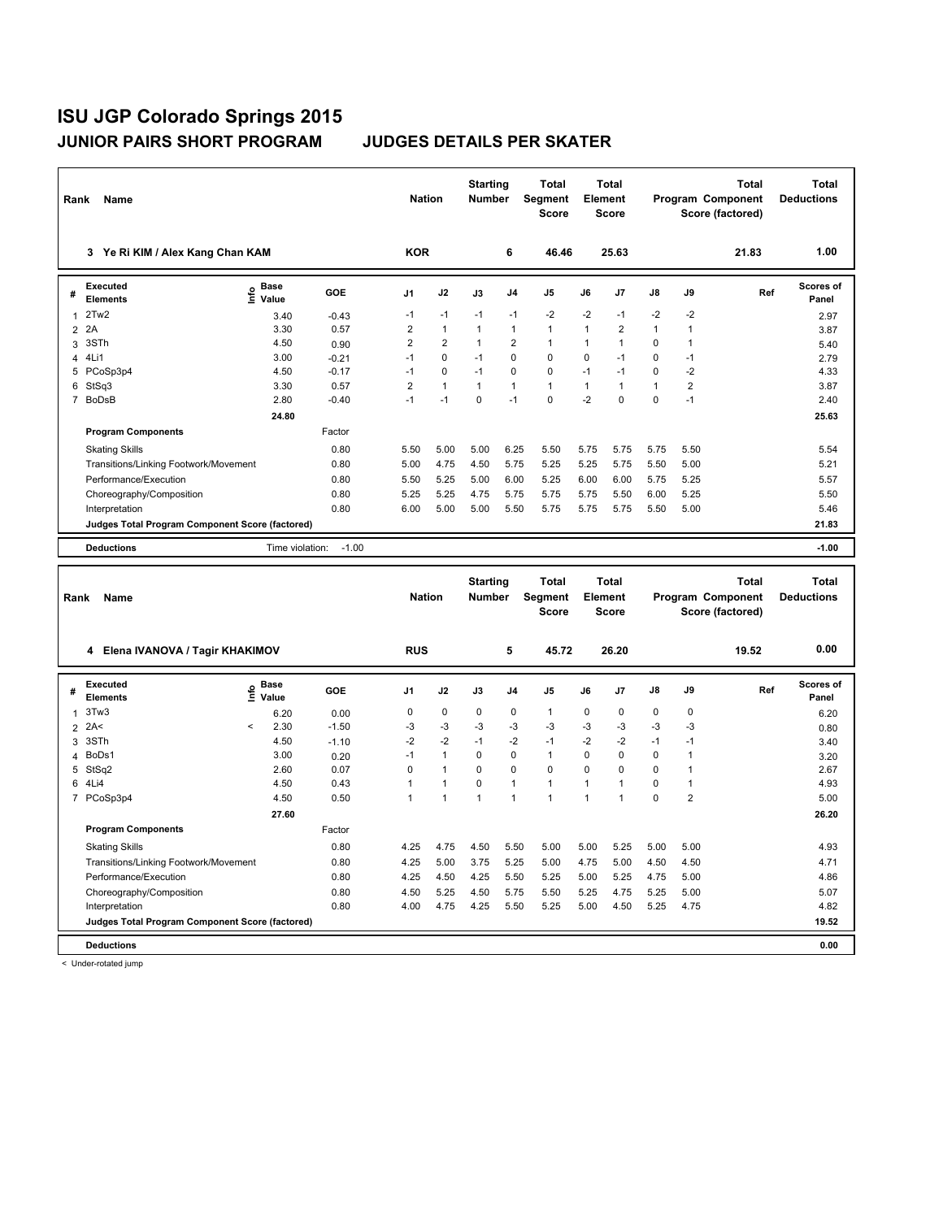| Rank           | Name                                                              |                                  |            | <b>Nation</b>  |                | <b>Starting</b><br><b>Number</b> |                | <b>Total</b><br>Segment<br><b>Score</b> |              | <b>Total</b><br>Element<br>Score        |              |                  | <b>Total</b><br>Program Component<br>Score (factored) | <b>Total</b><br><b>Deductions</b> |
|----------------|-------------------------------------------------------------------|----------------------------------|------------|----------------|----------------|----------------------------------|----------------|-----------------------------------------|--------------|-----------------------------------------|--------------|------------------|-------------------------------------------------------|-----------------------------------|
|                | 3 Ye Ri KIM / Alex Kang Chan KAM                                  |                                  |            | <b>KOR</b>     |                |                                  | 6              | 46.46                                   |              | 25.63                                   |              |                  | 21.83                                                 | 1.00                              |
| #              | <b>Executed</b><br>Elements                                       | e Base<br>⊆ Value                | <b>GOE</b> | J1             | J2             | J3                               | J4             | J5                                      | J6           | J7                                      | J8           | J9               | Ref                                                   | Scores of<br>Panel                |
| 1              | 2Tw2                                                              | 3.40                             | $-0.43$    | $-1$           | $-1$           | $-1$                             | $-1$           | $-2$                                    | $-2$         | $-1$                                    | $-2$         | $-2$             |                                                       | 2.97                              |
| $\overline{2}$ | 2A                                                                | 3.30                             | 0.57       | $\mathbf 2$    | $\mathbf{1}$   | $\mathbf{1}$                     | $\mathbf{1}$   | $\mathbf{1}$                            | $\mathbf{1}$ | $\overline{2}$                          | $\mathbf{1}$ | $\mathbf{1}$     |                                                       | 3.87                              |
| 3              | 3STh                                                              | 4.50                             | 0.90       | $\overline{2}$ | $\overline{2}$ | $\mathbf{1}$                     | $\overline{2}$ | $\mathbf{1}$                            | 1            | $\mathbf{1}$                            | 0            | $\mathbf{1}$     |                                                       | 5.40                              |
| 4              | 4Li1                                                              | 3.00                             | $-0.21$    | $-1$           | $\mathbf 0$    | $-1$                             | $\mathbf 0$    | $\mathbf 0$                             | 0            | $-1$                                    | 0            | $-1$             |                                                       | 2.79                              |
|                | 5 PCoSp3p4                                                        | 4.50                             | $-0.17$    | $-1$           | $\pmb{0}$      | $-1$                             | $\mathbf 0$    | 0                                       | $-1$         | $-1$                                    | 0            | $-2$             |                                                       | 4.33                              |
| 6              | StSq3                                                             | 3.30                             | 0.57       | $\overline{2}$ | $\mathbf{1}$   | $\mathbf{1}$                     | $\mathbf{1}$   | $\mathbf{1}$                            | $\mathbf{1}$ | $\mathbf{1}$                            | $\mathbf{1}$ | $\boldsymbol{2}$ |                                                       | 3.87                              |
|                | 7 BoDsB                                                           | 2.80                             | $-0.40$    | $-1$           | $-1$           | $\pmb{0}$                        | $-1$           | 0                                       | $-2$         | $\pmb{0}$                               | 0            | $-1$             |                                                       | 2.40                              |
|                | <b>Program Components</b>                                         | 24.80                            | Factor     |                |                |                                  |                |                                         |              |                                         |              |                  |                                                       | 25.63                             |
|                | <b>Skating Skills</b>                                             |                                  | 0.80       | 5.50           | 5.00           | 5.00                             | 6.25           | 5.50                                    | 5.75         | 5.75                                    | 5.75         | 5.50             |                                                       | 5.54                              |
|                | Transitions/Linking Footwork/Movement                             |                                  | 0.80       | 5.00           | 4.75           | 4.50                             | 5.75           | 5.25                                    | 5.25         | 5.75                                    | 5.50         | 5.00             |                                                       | 5.21                              |
|                | Performance/Execution                                             |                                  | 0.80       | 5.50           | 5.25           | 5.00                             | 6.00           | 5.25                                    | 6.00         | 6.00                                    | 5.75         | 5.25             |                                                       | 5.57                              |
|                | Choreography/Composition                                          |                                  | 0.80       | 5.25           | 5.25           | 4.75                             | 5.75           | 5.75                                    | 5.75         | 5.50                                    | 6.00         | 5.25             |                                                       | 5.50                              |
|                | Interpretation                                                    |                                  | 0.80       | 6.00           | 5.00           | 5.00                             | 5.50           | 5.75                                    | 5.75         | 5.75                                    | 5.50         | 5.00             |                                                       | 5.46                              |
|                | Judges Total Program Component Score (factored)                   |                                  |            |                |                |                                  |                |                                         |              |                                         |              |                  |                                                       | 21.83                             |
|                | <b>Deductions</b>                                                 | Time violation:                  | $-1.00$    |                |                |                                  |                |                                         |              |                                         |              |                  |                                                       | $-1.00$                           |
|                |                                                                   |                                  |            |                |                |                                  |                |                                         |              |                                         |              |                  |                                                       |                                   |
| Rank           | Name                                                              |                                  |            | <b>Nation</b>  |                | <b>Starting</b><br>Number        |                | Total<br>Segment<br><b>Score</b>        |              | <b>Total</b><br>Element<br><b>Score</b> |              |                  | <b>Total</b><br>Program Component<br>Score (factored) | <b>Total</b><br><b>Deductions</b> |
|                | 4 Elena IVANOVA / Tagir KHAKIMOV                                  |                                  |            | <b>RUS</b>     |                |                                  | 5              | 45.72                                   |              | 26.20                                   |              |                  | 19.52                                                 | 0.00                              |
| #              | Executed<br><b>Elements</b>                                       | <b>Base</b><br>e Base<br>⊆ Value | <b>GOE</b> | J1             | J2             | J3                               | J4             | J5                                      | J6           | J7                                      | J8           | J9               | Ref                                                   | Scores of<br>Panel                |
| $\mathbf{1}$   | 3Tw3                                                              | 6.20                             | 0.00       | $\pmb{0}$      | $\pmb{0}$      | $\pmb{0}$                        | $\mathbf 0$    | $\mathbf{1}$                            | 0            | 0                                       | 0            | $\mathbf 0$      |                                                       | 6.20                              |
| $\overline{2}$ | 2A<                                                               | <<br>2.30                        | $-1.50$    | $-3$           | $-3$           | $-3$                             | -3             | -3                                      | -3           | $-3$                                    | $-3$         | $-3$             |                                                       | 0.80                              |
| 3              | 3STh                                                              | 4.50                             | $-1.10$    | $-2$           | $-2$           | $-1$                             | $-2$           | $-1$                                    | $-2$         | $-2$                                    | $-1$         | $-1$             |                                                       | 3.40                              |
| 4              | BoDs1                                                             | 3.00                             | 0.20       | $-1$           | $\mathbf{1}$   | $\mathbf 0$                      | $\pmb{0}$      | $\mathbf{1}$                            | $\mathbf 0$  | $\mathbf 0$                             | 0            | $\mathbf{1}$     |                                                       | 3.20                              |
| 5              | StSq2                                                             | 2.60                             | 0.07       | $\mathbf 0$    | $\mathbf{1}$   | $\mathbf 0$                      | $\mathbf 0$    | 0                                       | 0            | 0                                       | 0            | $\mathbf{1}$     |                                                       | 2.67                              |
| 6              | 4Li4                                                              | 4.50                             | 0.43       | $\mathbf{1}$   | $\mathbf{1}$   | $\pmb{0}$                        | $\mathbf{1}$   | $\mathbf{1}$                            | $\mathbf{1}$ | $\mathbf{1}$                            | 0            | $\mathbf{1}$     |                                                       | 4.93                              |
|                | 7 PCoSp3p4                                                        | 4.50                             | 0.50       | $\mathbf{1}$   | $\overline{1}$ | $\mathbf{1}$                     | $\mathbf{1}$   | $\mathbf{1}$                            | 1            | $\overline{1}$                          | $\mathbf 0$  | $\overline{2}$   |                                                       | 5.00                              |
|                |                                                                   | 27.60                            |            |                |                |                                  |                |                                         |              |                                         |              |                  |                                                       | 26.20                             |
|                | <b>Program Components</b>                                         |                                  | Factor     |                |                |                                  |                |                                         |              |                                         |              |                  |                                                       |                                   |
|                | <b>Skating Skills</b>                                             |                                  | 0.80       | 4.25           | 4.75           | 4.50                             | 5.50           | 5.00                                    | 5.00         | 5.25                                    | 5.00         | 5.00             |                                                       | 4.93                              |
|                | Transitions/Linking Footwork/Movement                             |                                  | 0.80       | 4.25           | 5.00           | 3.75                             | 5.25           | 5.00                                    | 4.75         | 5.00                                    | 4.50         | 4.50             |                                                       | 4.71                              |
|                | Performance/Execution                                             |                                  | 0.80       | 4.25           | 4.50           | 4.25                             | 5.50           | 5.25                                    | 5.00         | 5.25                                    | 4.75         | 5.00             |                                                       | 4.86                              |
|                | Choreography/Composition                                          |                                  | 0.80       | 4.50           | 5.25           | 4.50                             | 5.75           | 5.50                                    | 5.25         | 4.75                                    | 5.25         | 5.00             |                                                       | 5.07                              |
|                | Interpretation<br>Judges Total Program Component Score (factored) |                                  | 0.80       | 4.00           | 4.75           | 4.25                             | 5.50           | 5.25                                    | 5.00         | 4.50                                    | 5.25         | 4.75             |                                                       | 4.82<br>19.52                     |

< Under-rotated jump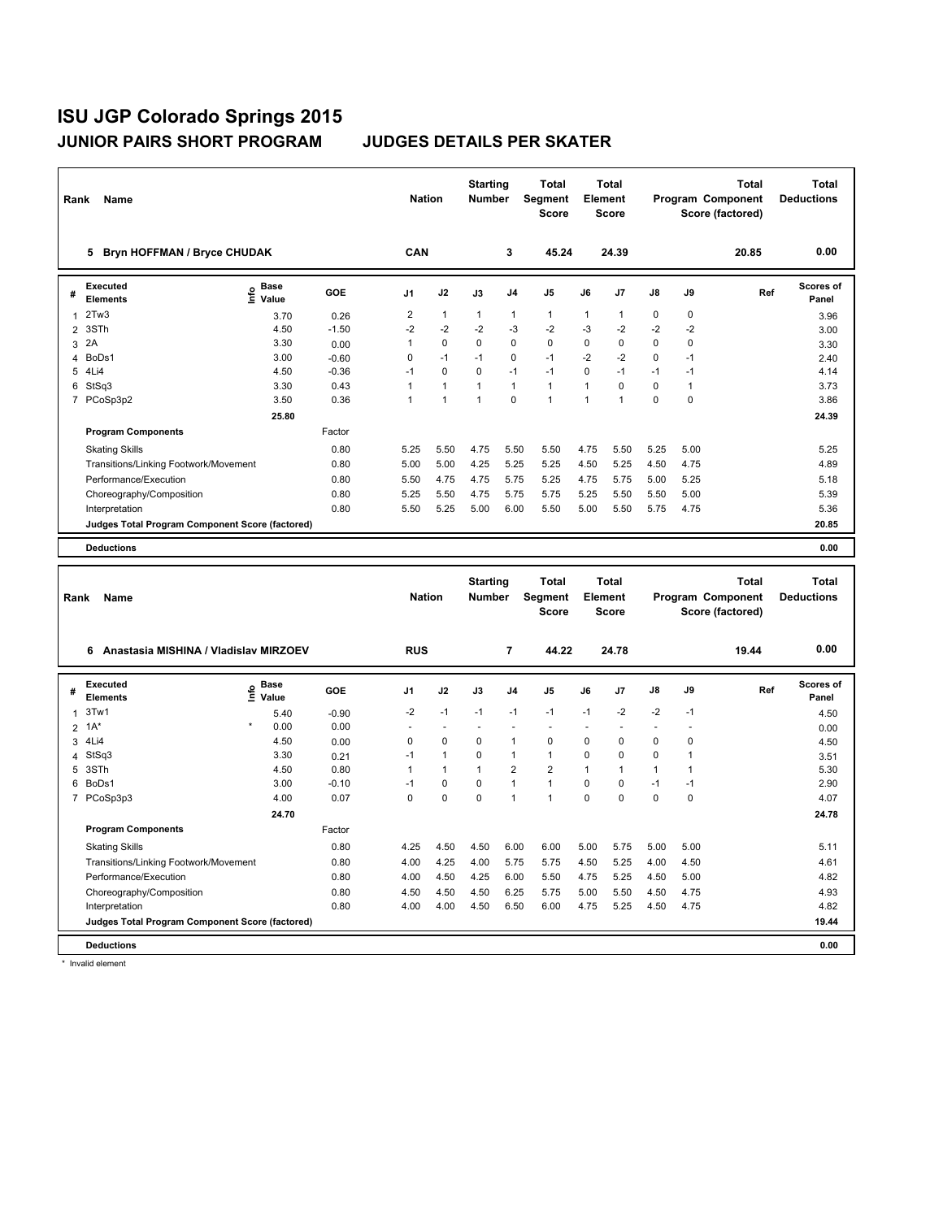| Rank           | Name                                                                 |                   |            | <b>Nation</b>  |                                | <b>Starting</b><br><b>Number</b> |                           | <b>Total</b><br>Segment<br><b>Score</b>        |                   | <b>Total</b><br>Element<br>Score        |                |                             | <b>Total</b><br>Program Component<br>Score (factored) | <b>Total</b><br><b>Deductions</b> |
|----------------|----------------------------------------------------------------------|-------------------|------------|----------------|--------------------------------|----------------------------------|---------------------------|------------------------------------------------|-------------------|-----------------------------------------|----------------|-----------------------------|-------------------------------------------------------|-----------------------------------|
|                | 5 Bryn HOFFMAN / Bryce CHUDAK                                        |                   |            | CAN            |                                |                                  | 3                         | 45.24                                          |                   | 24.39                                   |                |                             | 20.85                                                 | 0.00                              |
| #              | <b>Executed</b><br>Elements                                          | e Base<br>⊆ Value | GOE        | J1             | J2                             | J3                               | J4                        | J5                                             | J6                | J7                                      | J8             | J9                          | Ref                                                   | Scores of<br>Panel                |
| 1              | 2Tw3                                                                 | 3.70              | 0.26       | $\overline{2}$ | $\mathbf{1}$                   | $\mathbf{1}$                     | $\mathbf{1}$              | $\mathbf{1}$                                   | $\mathbf{1}$      | $\mathbf{1}$                            | 0              | 0                           |                                                       | 3.96                              |
| $\overline{2}$ | 3STh                                                                 | 4.50              | $-1.50$    | $-2$           | $-2$                           | $-2$                             | -3                        | $-2$                                           | -3                | $-2$                                    | $-2$           | $-2$                        |                                                       | 3.00                              |
| 3              | 2A                                                                   | 3.30              | 0.00       | $\mathbf{1}$   | $\mathbf 0$                    | $\mathbf 0$                      | $\mathbf 0$               | $\mathbf 0$                                    | 0                 | 0                                       | 0              | 0                           |                                                       | 3.30                              |
| 4              | BoDs1                                                                | 3.00              | $-0.60$    | $\pmb{0}$      | $-1$                           | $-1$                             | $\mathbf 0$               | $-1$                                           | $-2$              | $-2$                                    | 0              | $-1$                        |                                                       | 2.40                              |
|                | 5 4Li4                                                               | 4.50              | $-0.36$    | $-1$           | $\pmb{0}$                      | $\pmb{0}$                        | $-1$                      | $-1$                                           | $\mathsf 0$       | $-1$                                    | $-1$           | $-1$                        |                                                       | 4.14                              |
| 6              | StSq3                                                                | 3.30              | 0.43       | $\mathbf{1}$   | $\mathbf{1}$<br>$\overline{1}$ | $\mathbf{1}$<br>$\mathbf{1}$     | $\mathbf{1}$<br>$\pmb{0}$ | $\mathbf{1}$<br>$\mathbf{1}$                   | 1<br>$\mathbf{1}$ | $\mathbf 0$<br>$\mathbf{1}$             | $\pmb{0}$<br>0 | $\mathbf{1}$<br>$\mathbf 0$ |                                                       | 3.73                              |
|                | 7 PCoSp3p2                                                           | 3.50              | 0.36       | $\mathbf{1}$   |                                |                                  |                           |                                                |                   |                                         |                |                             |                                                       | 3.86                              |
|                | <b>Program Components</b>                                            | 25.80             | Factor     |                |                                |                                  |                           |                                                |                   |                                         |                |                             |                                                       | 24.39                             |
|                | <b>Skating Skills</b>                                                |                   | 0.80       | 5.25           | 5.50                           | 4.75                             | 5.50                      | 5.50                                           | 4.75              | 5.50                                    | 5.25           | 5.00                        |                                                       | 5.25                              |
|                | Transitions/Linking Footwork/Movement                                |                   | 0.80       | 5.00           | 5.00                           | 4.25                             | 5.25                      | 5.25                                           | 4.50              | 5.25                                    | 4.50           | 4.75                        |                                                       | 4.89                              |
|                | Performance/Execution                                                |                   | 0.80       | 5.50           | 4.75                           | 4.75                             | 5.75                      | 5.25                                           | 4.75              | 5.75                                    | 5.00           | 5.25                        |                                                       | 5.18                              |
|                | Choreography/Composition                                             |                   | 0.80       | 5.25           | 5.50                           | 4.75                             | 5.75                      | 5.75                                           | 5.25              | 5.50                                    | 5.50           | 5.00                        |                                                       | 5.39                              |
|                | Interpretation                                                       |                   | 0.80       | 5.50           | 5.25                           | 5.00                             | 6.00                      | 5.50                                           | 5.00              | 5.50                                    | 5.75           | 4.75                        |                                                       | 5.36                              |
|                | Judges Total Program Component Score (factored)                      |                   |            |                |                                |                                  |                           |                                                |                   |                                         |                |                             |                                                       | 20.85                             |
|                | <b>Deductions</b>                                                    |                   |            |                |                                |                                  |                           |                                                |                   |                                         |                |                             |                                                       | 0.00                              |
|                |                                                                      |                   |            |                |                                |                                  |                           |                                                |                   |                                         |                |                             |                                                       |                                   |
|                |                                                                      |                   |            |                |                                |                                  |                           |                                                |                   |                                         |                |                             |                                                       |                                   |
| Rank           | Name                                                                 |                   |            | <b>Nation</b>  |                                | <b>Starting</b><br><b>Number</b> |                           | <b>Total</b><br><b>Segment</b><br><b>Score</b> |                   | <b>Total</b><br>Element<br><b>Score</b> |                |                             | <b>Total</b><br>Program Component<br>Score (factored) | <b>Total</b><br><b>Deductions</b> |
|                | 6 Anastasia MISHINA / Vladislav MIRZOEV                              |                   |            | <b>RUS</b>     |                                |                                  | $\overline{7}$            | 44.22                                          |                   | 24.78                                   |                |                             | 19.44                                                 | 0.00                              |
| #              | <b>Executed</b><br><b>Elements</b>                                   | e Base<br>E Value | <b>GOE</b> | J1             | J2                             | J3                               | J4                        | J5                                             | J6                | J7                                      | J8             | J9                          | Ref                                                   | Scores of<br>Panel                |
| 1              | 3Tw1                                                                 | 5.40              | $-0.90$    | $-2$           | $-1$                           | $-1$                             | $-1$                      | $-1$                                           | $-1$              | $-2$                                    | $-2$           | $-1$                        |                                                       | 4.50                              |
| $\overline{2}$ | $1A^*$                                                               | 0.00              | 0.00       | L.             | ÷,                             | L,                               | ÷.                        | ÷.                                             |                   | $\overline{a}$                          | $\overline{a}$ | J.                          |                                                       | 0.00                              |
| 3              | 4Li4                                                                 | 4.50              | 0.00       | $\pmb{0}$      | $\pmb{0}$                      | $\pmb{0}$                        | $\mathbf{1}$              | $\Omega$                                       | $\Omega$          | $\Omega$                                | 0              | 0                           |                                                       | 4.50                              |
| 4              | StSq3                                                                | 3.30              | 0.21       | $-1$           | $\mathbf{1}$                   | 0                                | $\mathbf{1}$              | $\mathbf{1}$                                   | 0                 | 0                                       | 0              | 1                           |                                                       | 3.51                              |
| 5              | 3STh                                                                 | 4.50              | 0.80       | 1              | $\mathbf{1}$                   | $\mathbf{1}$                     | $\overline{2}$            | $\overline{\mathbf{c}}$                        | 1                 | 1                                       | $\mathbf{1}$   | 1                           |                                                       | 5.30                              |
|                | 6 BoDs1                                                              | 3.00              | $-0.10$    | $-1$           | $\pmb{0}$                      | 0                                | $\mathbf{1}$              | $\mathbf{1}$                                   | 0                 | 0                                       | $-1$           | $-1$                        |                                                       | 2.90                              |
|                | 7 PCoSp3p3                                                           | 4.00              | 0.07       | $\pmb{0}$      | $\pmb{0}$                      | $\pmb{0}$                        | $\mathbf{1}$              | $\mathbf{1}$                                   | $\mathbf 0$       | 0                                       | 0              | $\mathbf 0$                 |                                                       | 4.07                              |
|                |                                                                      | 24.70             |            |                |                                |                                  |                           |                                                |                   |                                         |                |                             |                                                       | 24.78                             |
|                | <b>Program Components</b>                                            |                   | Factor     |                |                                |                                  |                           |                                                |                   |                                         |                |                             |                                                       |                                   |
|                | <b>Skating Skills</b>                                                |                   | 0.80       | 4.25           | 4.50                           | 4.50                             | 6.00                      | 6.00                                           | 5.00              | 5.75                                    | 5.00           | 5.00                        |                                                       | 5.11                              |
|                | Transitions/Linking Footwork/Movement                                |                   | 0.80       | 4.00           | 4.25                           | 4.00                             | 5.75                      | 5.75                                           | 4.50              | 5.25                                    | 4.00           | 4.50                        |                                                       | 4.61                              |
|                | Performance/Execution                                                |                   | 0.80       | 4.00           | 4.50                           | 4.25                             | 6.00                      | 5.50                                           | 4.75              | 5.25                                    | 4.50           | 5.00                        |                                                       | 4.82                              |
|                | Choreography/Composition                                             |                   | 0.80       | 4.50           | 4.50                           | 4.50                             | 6.25                      | 5.75                                           | 5.00              | 5.50                                    | 4.50           | 4.75                        |                                                       | 4.93                              |
|                | Interpretation                                                       |                   | 0.80       | 4.00           | 4.00                           | 4.50                             | 6.50                      | 6.00                                           | 4.75              | 5.25                                    | 4.50           | 4.75                        |                                                       | 4.82                              |
|                | Judges Total Program Component Score (factored)<br><b>Deductions</b> |                   |            |                |                                |                                  |                           |                                                |                   |                                         |                |                             |                                                       | 19.44<br>0.00                     |

\* Invalid element